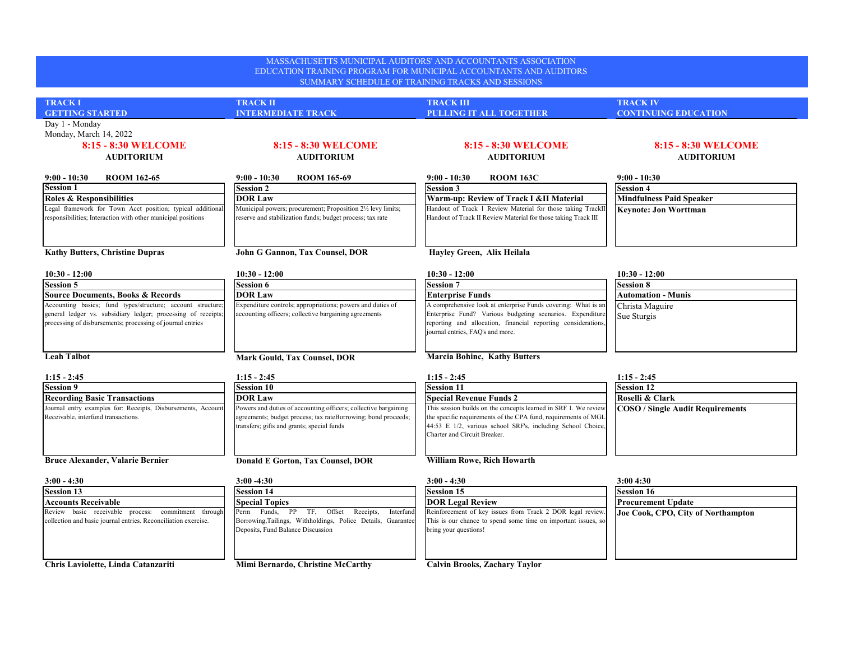| MASSACHUSETTS MUNICIPAL AUDITORS' AND ACCOUNTANTS ASSOCIATION<br>EDUCATION TRAINING PROGRAM FOR MUNICIPAL ACCOUNTANTS AND AUDITORS<br>SUMMARY SCHEDULE OF TRAINING TRACKS AND SESSIONS     |                                                                                                                                                                                |                                                                                                                                                                                                                                  |                                          |  |  |
|--------------------------------------------------------------------------------------------------------------------------------------------------------------------------------------------|--------------------------------------------------------------------------------------------------------------------------------------------------------------------------------|----------------------------------------------------------------------------------------------------------------------------------------------------------------------------------------------------------------------------------|------------------------------------------|--|--|
| <b>TRACK I</b>                                                                                                                                                                             | <b>TRACK II</b>                                                                                                                                                                | <b>TRACK III</b>                                                                                                                                                                                                                 | <b>TRACK IV</b>                          |  |  |
| <b>GETTING STARTED</b>                                                                                                                                                                     | <b>INTERMEDIATE TRACK</b>                                                                                                                                                      | <b>PULLING IT ALL TOGETHER</b>                                                                                                                                                                                                   | <b>CONTINUING EDUCATION</b>              |  |  |
| Day 1 - Monday<br>Monday, March 14, 2022<br>8:15 - 8:30 WELCOME<br><b>AUDITORIUM</b>                                                                                                       | 8:15 - 8:30 WELCOME<br><b>AUDITORIUM</b>                                                                                                                                       | 8:15 - 8:30 WELCOME<br><b>AUDITORIUM</b>                                                                                                                                                                                         | 8:15 - 8:30 WELCOME<br><b>AUDITORIUM</b> |  |  |
| $9:00 - 10:30$<br><b>ROOM 162-65</b>                                                                                                                                                       | $9:00 - 10:30$<br><b>ROOM 165-69</b>                                                                                                                                           | $9:00 - 10:30$<br><b>ROOM 163C</b>                                                                                                                                                                                               | $9:00 - 10:30$                           |  |  |
| Session 1                                                                                                                                                                                  | <b>Session 2</b>                                                                                                                                                               | <b>Session 3</b>                                                                                                                                                                                                                 | <b>Session 4</b>                         |  |  |
| <b>Roles &amp; Responsibilities</b>                                                                                                                                                        | <b>DOR Law</b>                                                                                                                                                                 | Warm-up: Review of Track I &II Material                                                                                                                                                                                          | <b>Mindfulness Paid Speaker</b>          |  |  |
| Legal framework for Town Acct position; typical additional<br>responsibilities; Interaction with other municipal positions                                                                 | Municipal powers; procurement; Proposition 21/2 levy limits;<br>reserve and stabilization funds; budget process; tax rate                                                      | Handout of Track 1 Review Material for those taking TrackII<br>Handout of Track II Review Material for those taking Track III                                                                                                    | <b>Keynote: Jon Worttman</b>             |  |  |
| <b>Kathy Butters, Christine Dupras</b>                                                                                                                                                     | John G Gannon, Tax Counsel, DOR                                                                                                                                                | Hayley Green, Alix Heilala                                                                                                                                                                                                       |                                          |  |  |
| $10:30 - 12:00$                                                                                                                                                                            | $10:30 - 12:00$                                                                                                                                                                | $10:30 - 12:00$                                                                                                                                                                                                                  | $10:30 - 12:00$                          |  |  |
| <b>Session 5</b>                                                                                                                                                                           | <b>Session 6</b>                                                                                                                                                               | <b>Session 7</b>                                                                                                                                                                                                                 | <b>Session 8</b>                         |  |  |
| <b>Source Documents, Books &amp; Records</b>                                                                                                                                               | <b>DOR Law</b>                                                                                                                                                                 | <b>Enterprise Funds</b>                                                                                                                                                                                                          | <b>Automation - Munis</b>                |  |  |
| Accounting basics; fund types/structure; account structure;<br>general ledger vs. subsidiary ledger; processing of receipts.<br>processing of disbursements; processing of journal entries | Expenditure controls; appropriations; powers and duties of<br>accounting officers; collective bargaining agreements                                                            | A comprehensive look at enterprise Funds covering: What is an<br>Enterprise Fund? Various budgeting scenarios. Expenditure<br>reporting and allocation, financial reporting considerations,                                      | Christa Maguire<br>Sue Sturgis           |  |  |
| <b>Leah Talbot</b>                                                                                                                                                                         | <b>Mark Gould, Tax Counsel, DOR</b>                                                                                                                                            | journal entries, FAQ's and more.<br><b>Marcia Bohinc, Kathy Butters</b>                                                                                                                                                          |                                          |  |  |
| $1:15 - 2:45$                                                                                                                                                                              | $1:15 - 2:45$                                                                                                                                                                  | $1:15 - 2:45$                                                                                                                                                                                                                    | $1:15 - 2:45$                            |  |  |
| <b>Session 9</b>                                                                                                                                                                           | <b>Session 10</b>                                                                                                                                                              | <b>Session 11</b>                                                                                                                                                                                                                | <b>Session 12</b>                        |  |  |
| <b>Recording Basic Transactions</b>                                                                                                                                                        | <b>DOR Law</b>                                                                                                                                                                 | <b>Special Revenue Funds 2</b>                                                                                                                                                                                                   | Roselli & Clark                          |  |  |
| Journal entry examples for: Receipts, Disbursements, Account<br>Receivable, interfund transactions.                                                                                        | Powers and duties of accounting officers; collective bargaining<br>agreements; budget process; tax rateBorrowing; bond proceeds;<br>transfers; gifts and grants; special funds | This session builds on the concepts learned in SRF 1. We review<br>the specific requirements of the CPA fund, requirements of MGL<br>44:53 E 1/2, various school SRF's, including School Choice,<br>Charter and Circuit Breaker. | <b>COSO / Single Audit Requirements</b>  |  |  |
| <b>Bruce Alexander, Valarie Bernier</b>                                                                                                                                                    | Donald E Gorton, Tax Counsel, DOR                                                                                                                                              | William Rowe, Rich Howarth                                                                                                                                                                                                       |                                          |  |  |
| $3:00 - 4:30$                                                                                                                                                                              | $3:00 - 4:30$                                                                                                                                                                  | $3:00 - 4:30$                                                                                                                                                                                                                    | 3:004:30                                 |  |  |
| <b>Session 13</b>                                                                                                                                                                          | <b>Session 14</b>                                                                                                                                                              | <b>Session 15</b>                                                                                                                                                                                                                | <b>Session 16</b>                        |  |  |
| Accounts Receivable                                                                                                                                                                        | <b>Special Topics</b>                                                                                                                                                          | <b>DOR Legal Review</b>                                                                                                                                                                                                          | <b>Procurement Update</b>                |  |  |
| Review basic receivable process: commitment through                                                                                                                                        | Perm Funds, PP TF, Offset Receipts,<br>Interfund                                                                                                                               | Reinforcement of key issues from Track 2 DOR legal review.                                                                                                                                                                       | Joe Cook, CPO, City of Northampton       |  |  |
| collection and basic journal entries. Reconciliation exercise.                                                                                                                             | Borrowing, Tailings, Withholdings, Police Details, Guarantee<br>Deposits, Fund Balance Discussion                                                                              | This is our chance to spend some time on important issues, so<br>bring your questions!                                                                                                                                           |                                          |  |  |

**Chris Laviolette, Linda Catanzariti Mimi Bernardo, Christine McCarthy Calvin Brooks, Zachary Taylor**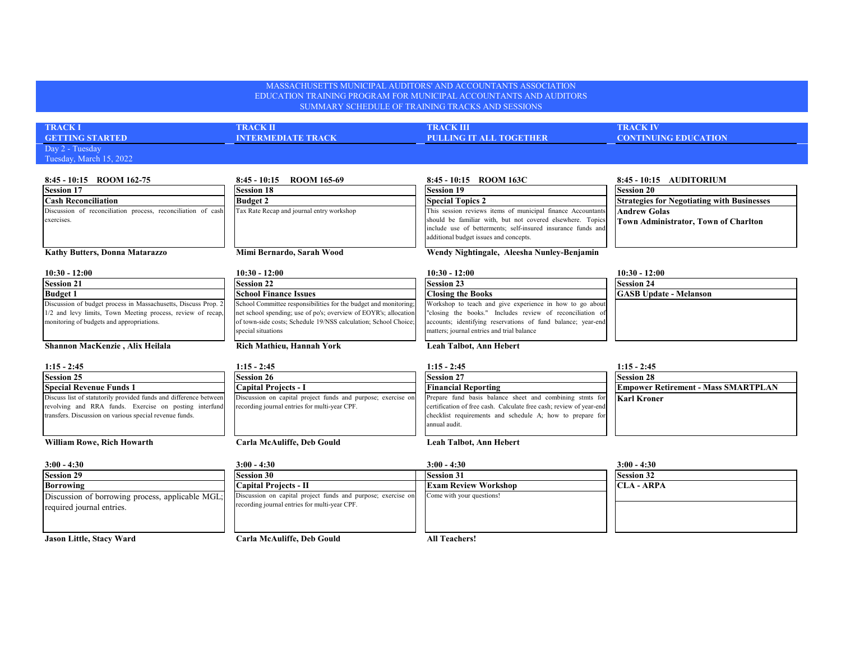## MASSACHUSETTS MUNICIPAL AUDITORS' AND ACCOUNTANTS ASSOCIATION EDUCATION TRAINING PROGRAM FOR MUNICIPAL ACCOUNTANTS AND AUDITORS SUMMARY SCHEDULE OF TRAINING TRACKS AND SESSIONS **TRACK I TRACK II TRACK III TRACK IV GETTING STARTED INTERMEDIATE TRACK PULLING IT ALL TOGETHER CONTINUING EDUCATION** Day 2 - Tuesday Tuesday, March 15, 2022 **8:45 - 10:15 ROOM 162-75 8:45 - 10:15 ROOM 165-69 8:45 - 10:15 ROOM 163C 8:45 - 10:15 AUDITORIUM Session 17 Session 18 Session 19 Session 20** Cash Reconciliation **Budget 2 Budget 2 Special Topics 2 Special Topics 2 Special Topics 2 Special Topics 2 Special Topics 2 Special Topics 2 Special Topics 2 Special Topics 2 Special Topics 2 Special Andrew Golas Town Administrator, Town of Charlton Kathy Butters, Donna Matarazzo Mimi Bernardo, Sarah Wood Wendy Nightingale, Aleesha Nunley-Benjamin 10:30 - 12:00 10:30 - 12:00 10:30 - 12:00 10:30 - 12:00 Session 21 Session 22 Session 23 Session 24 Budget 1 School Finance Issues Closing the Books GASB Update - Melanson Shannon MacKenzie , Alix Heilala Rich Mathieu, Hannah York Leah Talbot, Ann Hebert 1:15 - 2:45 1:15 - 2:45 1:15 - 2:45 1:15 - 2:45 Session 25 Session 26 Session 27 Session 28 Special Revenue Funds 1 Capital Projects - I Financial Reporting Empower Retirement - Mass SMARTPLAN Karl Kroner** Discuss list of statutorily provided funds and difference between revolving and RRA funds. Exercise on posting interfund transfers. Discussion on various special revenue funds. Discussion on capital project funds and purpose; exercise on recording journal entries for multi-year CPF. Prepare fund basis balance sheet and combining stmts for certification of free cash. Calculate free cash; review of year-end checklist requirements and schedule A; how to prepare for annual audit. Workshop to teach and give experience in how to go abou "closing the books." Includes review of reconciliation of accounts; identifying reservations of fund balance; year-end matters; journal entries and trial balance Discussion of reconciliation process, reconciliation of cash exercises. Tax Rate Recap and journal entry workshop This session reviews items of municipal finance Accountants should be familiar with, but not covered elsewhere. Topics include use of betterments; self-insured insurance funds and additional budget issues and concepts. Discussion of budget process in Massachusetts, Discuss Prop. 2 1/2 and levy limits, Town Meeting process, review of recap, monitoring of budgets and appropriations. School Committee responsibilities for the budget and monitoring; net school spending; use of po's; overview of EOYR's; allocation of town-side costs; Schedule 19/NSS calculation; School Choice; special situations

## **William Rowe, Rich Howarth Carla McAuliffe, Deb Gould Leah Talbot, Ann Hebert**

| $3:00 - 4:30$                                    | $3:00 - 4:30$                                                | $3:00 - 4:30$               | $3:00 - 4:30$     |
|--------------------------------------------------|--------------------------------------------------------------|-----------------------------|-------------------|
| <b>Session 29</b>                                | <b>Session 30</b>                                            | <b>Session 31</b>           | <b>Session 32</b> |
| <b>Borrowing</b>                                 | Capital Projects - II                                        | <b>Exam Review Workshop</b> | <b>CLA - ARPA</b> |
| Discussion of borrowing process, applicable MGL; | Discussion on capital project funds and purpose; exercise on | Come with your questions!   |                   |
| required journal entries.                        | recording journal entries for multi-year CPF.                |                             |                   |
|                                                  |                                                              |                             |                   |
|                                                  |                                                              |                             |                   |
| Jason Little, Stacy Ward                         | Carla McAuliffe, Deb Gould                                   | <b>All Teachers!</b>        |                   |